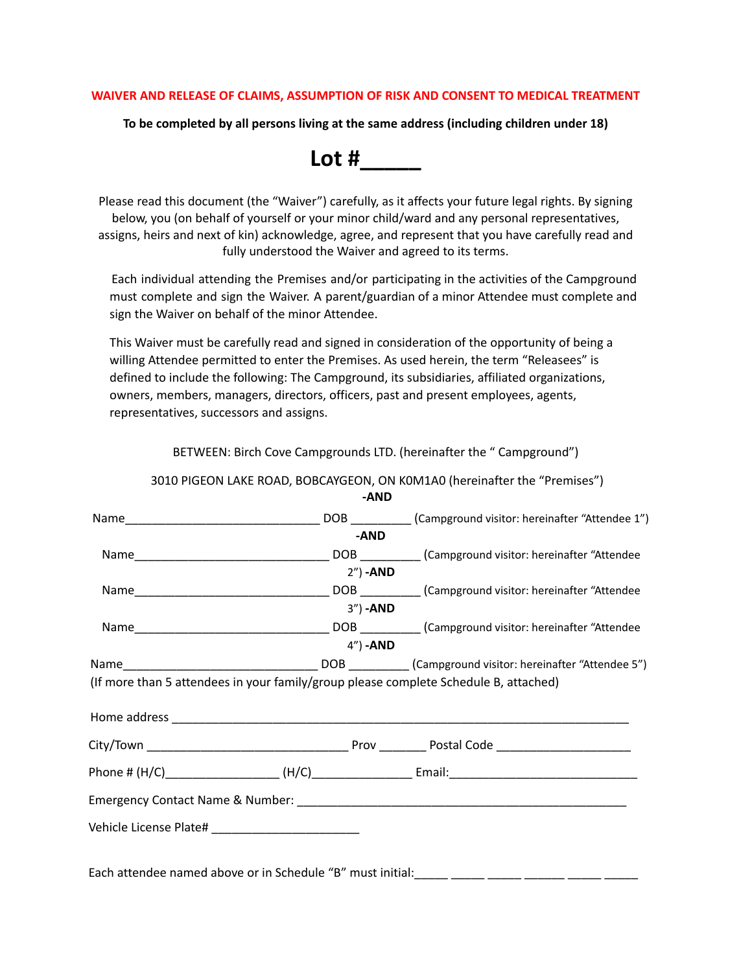## **WAIVER AND RELEASE OF CLAIMS, ASSUMPTION OF RISK AND CONSENT TO MEDICAL TREATMENT**

**To be completed by all persons living at the same address (including children under 18)**

**Lot #\_\_\_\_\_**

Please read this document (the "Waiver") carefully, as it affects your future legal rights. By signing below, you (on behalf of yourself or your minor child/ward and any personal representatives, assigns, heirs and next of kin) acknowledge, agree, and represent that you have carefully read and fully understood the Waiver and agreed to its terms.

Each individual attending the Premises and/or participating in the activities of the Campground must complete and sign the Waiver. A parent/guardian of a minor Attendee must complete and sign the Waiver on behalf of the minor Attendee.

This Waiver must be carefully read and signed in consideration of the opportunity of being a willing Attendee permitted to enter the Premises. As used herein, the term "Releasees" is defined to include the following: The Campground, its subsidiaries, affiliated organizations, owners, members, managers, directors, officers, past and present employees, agents, representatives, successors and assigns.

|                                                                                      | -AND             |                                                             |
|--------------------------------------------------------------------------------------|------------------|-------------------------------------------------------------|
|                                                                                      |                  | DOB _________(Campground visitor: hereinafter "Attendee 1") |
|                                                                                      | -AND             |                                                             |
|                                                                                      |                  |                                                             |
|                                                                                      | 2") - <b>AND</b> |                                                             |
|                                                                                      |                  |                                                             |
|                                                                                      | 3") - <b>AND</b> |                                                             |
|                                                                                      |                  |                                                             |
|                                                                                      | $4"$ ) -AND      |                                                             |
|                                                                                      |                  |                                                             |
| (If more than 5 attendees in your family/group please complete Schedule B, attached) |                  |                                                             |
|                                                                                      |                  |                                                             |
|                                                                                      |                  |                                                             |
|                                                                                      |                  |                                                             |
|                                                                                      |                  |                                                             |
|                                                                                      |                  |                                                             |
|                                                                                      |                  |                                                             |
|                                                                                      |                  |                                                             |
|                                                                                      |                  |                                                             |

3010 PIGEON LAKE ROAD, BOBCAYGEON, ON K0M1A0 (hereinafter the "Premises")

BETWEEN: Birch Cove Campgrounds LTD. (hereinafter the " Campground")

Each attendee named above or in Schedule "B" must initial: \_\_\_\_ \_\_\_\_\_\_\_\_\_\_\_\_\_\_\_\_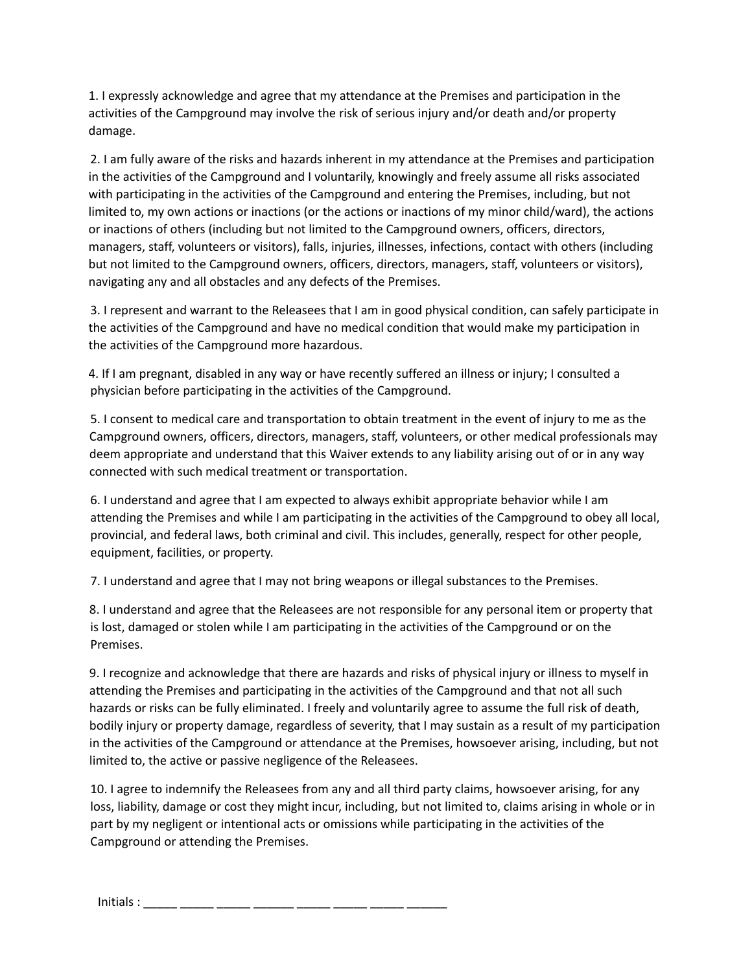1. I expressly acknowledge and agree that my attendance at the Premises and participation in the activities of the Campground may involve the risk of serious injury and/or death and/or property damage.

2. I am fully aware of the risks and hazards inherent in my attendance at the Premises and participation in the activities of the Campground and I voluntarily, knowingly and freely assume all risks associated with participating in the activities of the Campground and entering the Premises, including, but not limited to, my own actions or inactions (or the actions or inactions of my minor child/ward), the actions or inactions of others (including but not limited to the Campground owners, officers, directors, managers, staff, volunteers or visitors), falls, injuries, illnesses, infections, contact with others (including but not limited to the Campground owners, officers, directors, managers, staff, volunteers or visitors), navigating any and all obstacles and any defects of the Premises.

3. I represent and warrant to the Releasees that I am in good physical condition, can safely participate in the activities of the Campground and have no medical condition that would make my participation in the activities of the Campground more hazardous.

4. If I am pregnant, disabled in any way or have recently suffered an illness or injury; I consulted a physician before participating in the activities of the Campground.

5. I consent to medical care and transportation to obtain treatment in the event of injury to me as the Campground owners, officers, directors, managers, staff, volunteers, or other medical professionals may deem appropriate and understand that this Waiver extends to any liability arising out of or in any way connected with such medical treatment or transportation.

6. I understand and agree that I am expected to always exhibit appropriate behavior while I am attending the Premises and while I am participating in the activities of the Campground to obey all local, provincial, and federal laws, both criminal and civil. This includes, generally, respect for other people, equipment, facilities, or property.

7. I understand and agree that I may not bring weapons or illegal substances to the Premises.

8. I understand and agree that the Releasees are not responsible for any personal item or property that is lost, damaged or stolen while I am participating in the activities of the Campground or on the Premises.

9. I recognize and acknowledge that there are hazards and risks of physical injury or illness to myself in attending the Premises and participating in the activities of the Campground and that not all such hazards or risks can be fully eliminated. I freely and voluntarily agree to assume the full risk of death, bodily injury or property damage, regardless of severity, that I may sustain as a result of my participation in the activities of the Campground or attendance at the Premises, howsoever arising, including, but not limited to, the active or passive negligence of the Releasees.

10. I agree to indemnify the Releasees from any and all third party claims, howsoever arising, for any loss, liability, damage or cost they might incur, including, but not limited to, claims arising in whole or in part by my negligent or intentional acts or omissions while participating in the activities of the Campground or attending the Premises.

Initials : \_\_\_\_\_ \_\_\_\_\_ \_\_\_\_\_ \_\_\_\_\_\_ \_\_\_\_\_ \_\_\_\_\_ \_\_\_\_\_ \_\_\_\_\_\_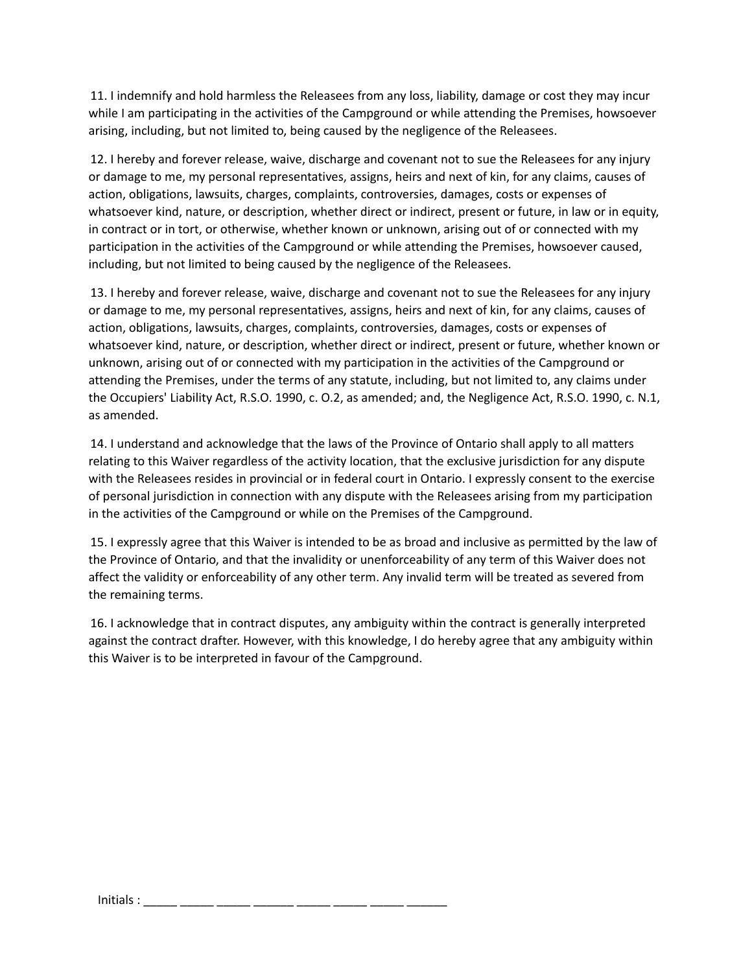11. I indemnify and hold harmless the Releasees from any loss, liability, damage or cost they may incur while I am participating in the activities of the Campground or while attending the Premises, howsoever arising, including, but not limited to, being caused by the negligence of the Releasees.

12. I hereby and forever release, waive, discharge and covenant not to sue the Releasees for any injury or damage to me, my personal representatives, assigns, heirs and next of kin, for any claims, causes of action, obligations, lawsuits, charges, complaints, controversies, damages, costs or expenses of whatsoever kind, nature, or description, whether direct or indirect, present or future, in law or in equity, in contract or in tort, or otherwise, whether known or unknown, arising out of or connected with my participation in the activities of the Campground or while attending the Premises, howsoever caused, including, but not limited to being caused by the negligence of the Releasees.

13. I hereby and forever release, waive, discharge and covenant not to sue the Releasees for any injury or damage to me, my personal representatives, assigns, heirs and next of kin, for any claims, causes of action, obligations, lawsuits, charges, complaints, controversies, damages, costs or expenses of whatsoever kind, nature, or description, whether direct or indirect, present or future, whether known or unknown, arising out of or connected with my participation in the activities of the Campground or attending the Premises, under the terms of any statute, including, but not limited to, any claims under the Occupiers' Liability Act, R.S.O. 1990, c. O.2, as amended; and, the Negligence Act, R.S.O. 1990, c. N.1, as amended.

14. I understand and acknowledge that the laws of the Province of Ontario shall apply to all matters relating to this Waiver regardless of the activity location, that the exclusive jurisdiction for any dispute with the Releasees resides in provincial or in federal court in Ontario. I expressly consent to the exercise of personal jurisdiction in connection with any dispute with the Releasees arising from my participation in the activities of the Campground or while on the Premises of the Campground.

15. I expressly agree that this Waiver is intended to be as broad and inclusive as permitted by the law of the Province of Ontario, and that the invalidity or unenforceability of any term of this Waiver does not affect the validity or enforceability of any other term. Any invalid term will be treated as severed from the remaining terms.

16. I acknowledge that in contract disputes, any ambiguity within the contract is generally interpreted against the contract drafter. However, with this knowledge, I do hereby agree that any ambiguity within this Waiver is to be interpreted in favour of the Campground.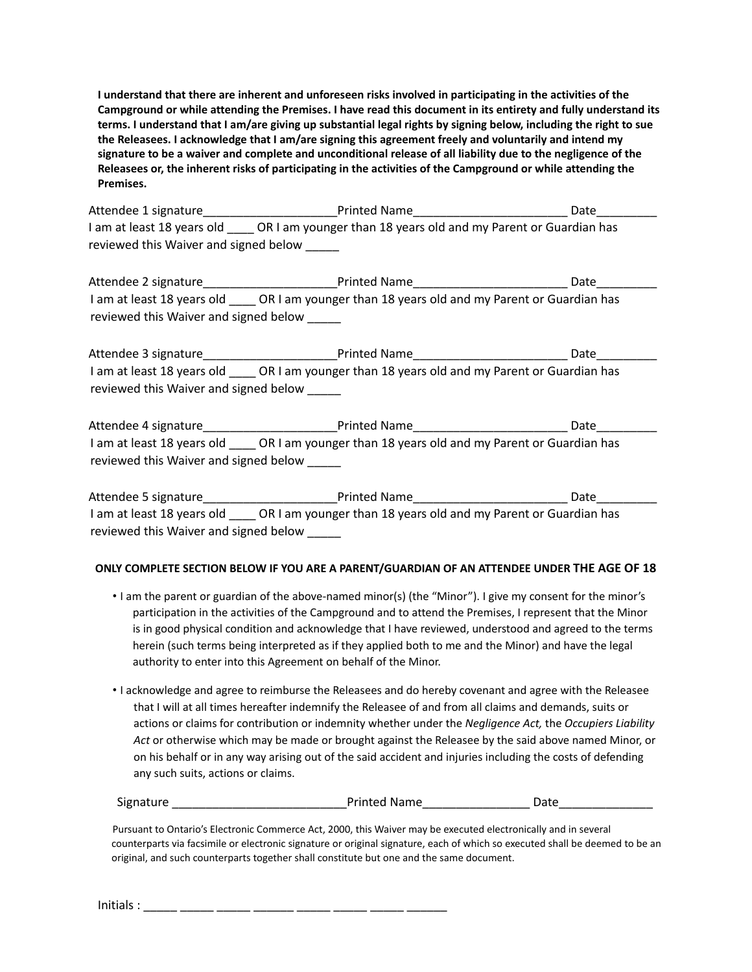I understand that there are inherent and unforeseen risks involved in participating in the activities of the Campground or while attending the Premises. I have read this document in its entirety and fully understand its terms. I understand that I am/are giving up substantial legal rights by signing below, including the right to sue **the Releasees. I acknowledge that I am/are signing this agreement freely and voluntarily and intend my** signature to be a waiver and complete and unconditional release of all liability due to the negligence of the Releasees or, the inherent risks of participating in the activities of the Campground or while attending the **Premises.**

Attendee 1 signature entitled Name and Printed Name and Date of the Date of Date and Date and Date and Date and Date of the Date of the Date of the Date of the Date of the Date of the Date of the Date of the Date of the Da I am at least 18 years old \_\_\_\_\_ OR I am younger than 18 years old and my Parent or Guardian has reviewed this Waiver and signed below

Attendee 2 signature \_\_\_\_\_\_\_\_\_\_\_\_\_\_\_\_\_\_\_\_\_\_\_Printed Name\_\_\_\_\_\_\_\_\_\_\_\_\_\_\_\_\_\_\_\_\_\_\_\_\_\_\_\_\_\_Date\_\_\_ I am at least 18 years old CR I am younger than 18 years old and my Parent or Guardian has reviewed this Waiver and signed below

Attendee 3 signature\_\_\_\_\_\_\_\_\_\_\_\_\_\_\_\_\_\_\_\_Printed Name\_\_\_\_\_\_\_\_\_\_\_\_\_\_\_\_\_\_\_\_\_\_\_ Date\_\_\_\_\_\_\_\_\_ I am at least 18 years old \_\_\_\_ OR I am younger than 18 years old and my Parent or Guardian has reviewed this Waiver and signed below

Attendee 4 signature\_\_\_\_\_\_\_\_\_\_\_\_\_\_\_\_\_\_\_\_Printed Name\_\_\_\_\_\_\_\_\_\_\_\_\_\_\_\_\_\_\_\_\_\_\_ Date\_\_\_\_\_\_\_\_\_ I am at least 18 years old CR I am younger than 18 years old and my Parent or Guardian has reviewed this Waiver and signed below

Attendee 5 signature\_\_\_\_\_\_\_\_\_\_\_\_\_\_\_\_\_\_\_\_Printed Name\_\_\_\_\_\_\_\_\_\_\_\_\_\_\_\_\_\_\_\_\_\_\_ Date\_\_\_\_\_\_\_\_\_ I am at least 18 years old **OR I am younger than 18 years old and my Parent or Guardian has** reviewed this Waiver and signed below

## **ONLY COMPLETE SECTION BELOW IF YOU ARE A PARENT/GUARDIAN OF AN ATTENDEE UNDER THE AGE OF 18**

- I am the parent or guardian of the above-named minor(s) (the "Minor"). I give my consent for the minor's participation in the activities of the Campground and to attend the Premises, I represent that the Minor is in good physical condition and acknowledge that I have reviewed, understood and agreed to the terms herein (such terms being interpreted as if they applied both to me and the Minor) and have the legal authority to enter into this Agreement on behalf of the Minor.
- I acknowledge and agree to reimburse the Releasees and do hereby covenant and agree with the Releasee that I will at all times hereafter indemnify the Releasee of and from all claims and demands, suits or actions or claims for contribution or indemnity whether under the *Negligence Act,* the *Occupiers Liability Act* or otherwise which may be made or brought against the Releasee by the said above named Minor, or on his behalf or in any way arising out of the said accident and injuries including the costs of defending any such suits, actions or claims.

| Signature | <b>Printed Name</b> |  |
|-----------|---------------------|--|
|           |                     |  |

Pursuant to Ontario's Electronic Commerce Act, 2000, this Waiver may be executed electronically and in several counterparts via facsimile or electronic signature or original signature, each of which so executed shall be deemed to be an original, and such counterparts together shall constitute but one and the same document.